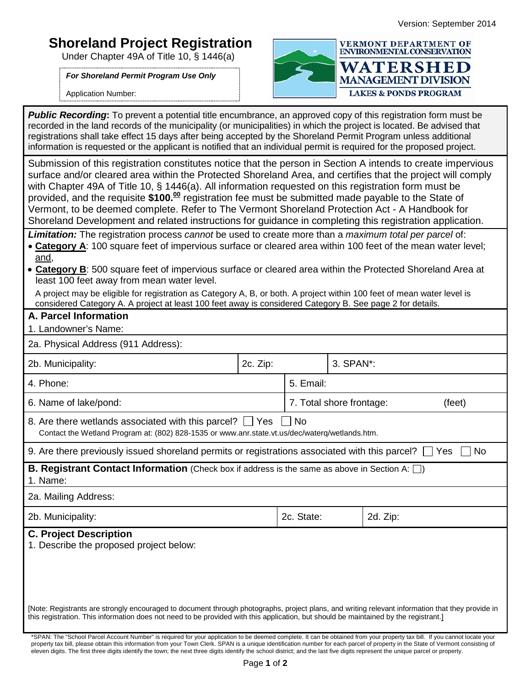## **Shoreland Project Registration**

Under Chapter 49A of Title 10, § 1446(a)

*For Shoreland Permit Program Use Only*

Application Number:



**Public Recording:** To prevent a potential title encumbrance, an approved copy of this registration form must be recorded in the land records of the municipality (or municipalities) in which the project is located. Be advised that registrations shall take effect 15 days after being accepted by the Shoreland Permit Program unless additional information is requested or the applicant is notified that an individual permit is required for the proposed project.

Submission of this registration constitutes notice that the person in Section A intends to create impervious surface and/or cleared area within the Protected Shoreland Area, and certifies that the project will comply with Chapter 49A of Title 10, § 1446(a). All information requested on this registration form must be provided, and the requisite **\$100. <sup>00</sup>** registration fee must be submitted made payable to the State of Vermont, to be deemed complete. Refer to The Vermont Shoreland Protection Act - A Handbook for Shoreland Development and related instructions for guidance in completing this registration application.

*Limitation:* The registration process *cannot* be used to create more than a *maximum total per parcel* of:

- **Category A**: 100 square feet of impervious surface or cleared area within 100 feet of the mean water level; and,
- **Category B**: 500 square feet of impervious surface or cleared area within the Protected Shoreland Area at least 100 feet away from mean water level.

A project may be eligible for registration as Category A, B, or both. A project within 100 feet of mean water level is considered Category A. A project at least 100 feet away is considered Category B. See page 2 for details.

## **A. Parcel Information**

| 1. Landowner's Name: |  |
|----------------------|--|
|----------------------|--|

| 2a. Physical Address (911 Address):                                                                                                                                                                                                                                                     |          |                                    |                        |  |  |  |
|-----------------------------------------------------------------------------------------------------------------------------------------------------------------------------------------------------------------------------------------------------------------------------------------|----------|------------------------------------|------------------------|--|--|--|
| 2b. Municipality:                                                                                                                                                                                                                                                                       | 2c. Zip: |                                    | 3. SPAN <sup>*</sup> : |  |  |  |
| 4. Phone:                                                                                                                                                                                                                                                                               |          | 5. Email:                          |                        |  |  |  |
| 6. Name of lake/pond:                                                                                                                                                                                                                                                                   |          | 7. Total shore frontage:<br>(feet) |                        |  |  |  |
| 8. Are there wetlands associated with this parcel?     Yes     No<br>Contact the Wetland Program at: (802) 828-1535 or www.anr.state.vt.us/dec/waterg/wetlands.htm.                                                                                                                     |          |                                    |                        |  |  |  |
| 9. Are there previously issued shoreland permits or registrations associated with this parcel? $\Box$ Yes<br><b>No</b>                                                                                                                                                                  |          |                                    |                        |  |  |  |
| <b>B. Registrant Contact Information</b> (Check box if address is the same as above in Section A: $\Box$ )<br>1. Name:                                                                                                                                                                  |          |                                    |                        |  |  |  |
| 2a. Mailing Address:                                                                                                                                                                                                                                                                    |          |                                    |                        |  |  |  |
| 2b. Municipality:                                                                                                                                                                                                                                                                       |          | 2c. State:<br>2d. Zip:             |                        |  |  |  |
| <b>C. Project Description</b><br>1. Describe the proposed project below:                                                                                                                                                                                                                |          |                                    |                        |  |  |  |
| [Note: Registrants are strongly encouraged to document through photographs, project plans, and writing relevant information that they provide in<br>this registration. This information does not need to be provided with this application, but should be maintained by the registrant. |          |                                    |                        |  |  |  |

\*SPAN: The "School Parcel Account Number" is required for your application to be deemed complete. It can be obtained from your property tax bill. If you cannot locate your property tax bill, please obtain this information from your Town Clerk. SPAN is a unique identification number for each parcel of property in the State of Vermont consisting of eleven digits. The first three digits identify the town; the next three digits identify the school district; and the last five digits represent the unique parcel or property.